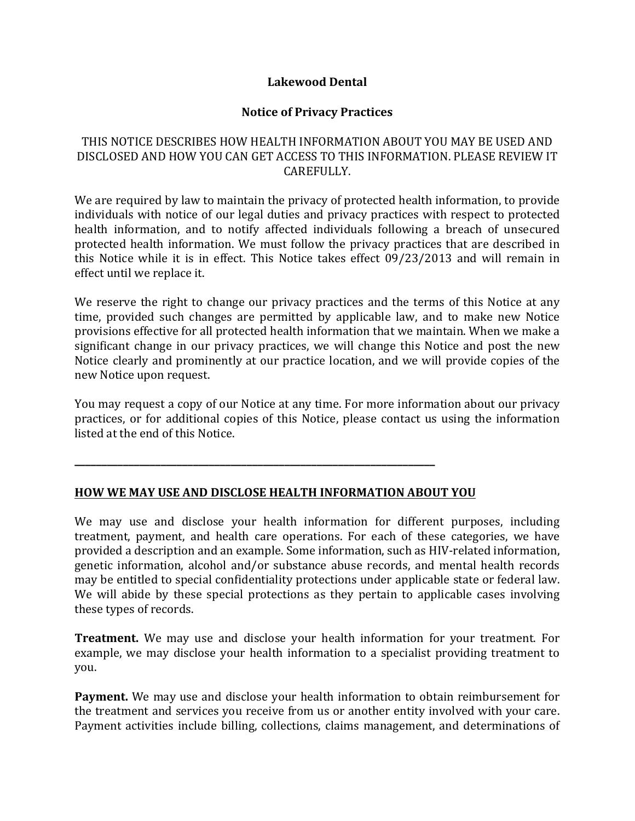### **Lakewood Dental**

## **Notice of Privacy Practices**

## THIS NOTICE DESCRIBES HOW HEALTH INFORMATION ABOUT YOU MAY BE USED AND DISCLOSED AND HOW YOU CAN GET ACCESS TO THIS INFORMATION. PLEASE REVIEW IT CAREFULLY.

We are required by law to maintain the privacy of protected health information, to provide individuals with notice of our legal duties and privacy practices with respect to protected health information, and to notify affected individuals following a breach of unsecured protected health information. We must follow the privacy practices that are described in this Notice while it is in effect. This Notice takes effect  $09/23/2013$  and will remain in effect until we replace it.

We reserve the right to change our privacy practices and the terms of this Notice at any time, provided such changes are permitted by applicable law, and to make new Notice provisions effective for all protected health information that we maintain. When we make a significant change in our privacy practices, we will change this Notice and post the new Notice clearly and prominently at our practice location, and we will provide copies of the new Notice upon request.

You may request a copy of our Notice at any time. For more information about our privacy practices, or for additional copies of this Notice, please contact us using the information listed at the end of this Notice.

### **HOW WE MAY USE AND DISCLOSE HEALTH INFORMATION ABOUT YOU**

**\_\_\_\_\_\_\_\_\_\_\_\_\_\_\_\_\_\_\_\_\_\_\_\_\_\_\_\_\_\_\_\_\_\_\_\_\_\_\_\_\_\_\_\_\_\_\_\_\_\_\_\_\_\_\_\_\_\_\_\_\_\_\_\_\_\_\_**

We may use and disclose your health information for different purposes, including treatment, payment, and health care operations. For each of these categories, we have provided a description and an example. Some information, such as HIV-related information, genetic information, alcohol and/or substance abuse records, and mental health records may be entitled to special confidentiality protections under applicable state or federal law. We will abide by these special protections as they pertain to applicable cases involving these types of records.

**Treatment.** We may use and disclose your health information for your treatment. For example, we may disclose your health information to a specialist providing treatment to you.

**Payment.** We may use and disclose your health information to obtain reimbursement for the treatment and services you receive from us or another entity involved with your care. Payment activities include billing, collections, claims management, and determinations of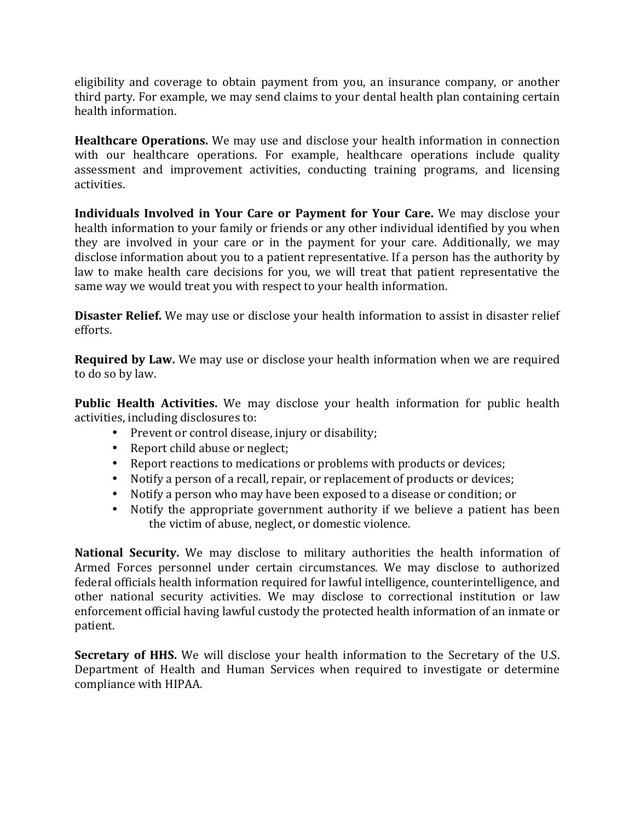eligibility and coverage to obtain payment from you, an insurance company, or another third party. For example, we may send claims to your dental health plan containing certain health information.

**Healthcare Operations.** We may use and disclose your health information in connection with our healthcare operations. For example, healthcare operations include quality assessment and improvement activities, conducting training programs, and licensing activities.

**Individuals Involved in Your Care or Payment for Your Care.** We may disclose your health information to your family or friends or any other individual identified by you when they are involved in your care or in the payment for your care. Additionally, we may disclose information about you to a patient representative. If a person has the authority by law to make health care decisions for you, we will treat that patient representative the same way we would treat you with respect to your health information.

**Disaster Relief.** We may use or disclose your health information to assist in disaster relief efforts.

**Required by Law.** We may use or disclose your health information when we are required to do so by law.

**Public Health Activities.** We may disclose your health information for public health activities, including disclosures to:

- Prevent or control disease, injury or disability;
- Report child abuse or neglect;
- Report reactions to medications or problems with products or devices;
- Notify a person of a recall, repair, or replacement of products or devices;
- Notify a person who may have been exposed to a disease or condition; or
- Notify the appropriate government authority if we believe a patient has been the victim of abuse, neglect, or domestic violence.

**National Security.** We may disclose to military authorities the health information of Armed Forces personnel under certain circumstances. We may disclose to authorized federal officials health information required for lawful intelligence, counterintelligence, and other national security activities. We may disclose to correctional institution or law enforcement official having lawful custody the protected health information of an inmate or patient.

**Secretary of HHS.** We will disclose your health information to the Secretary of the U.S. Department of Health and Human Services when required to investigate or determine compliance with HIPAA.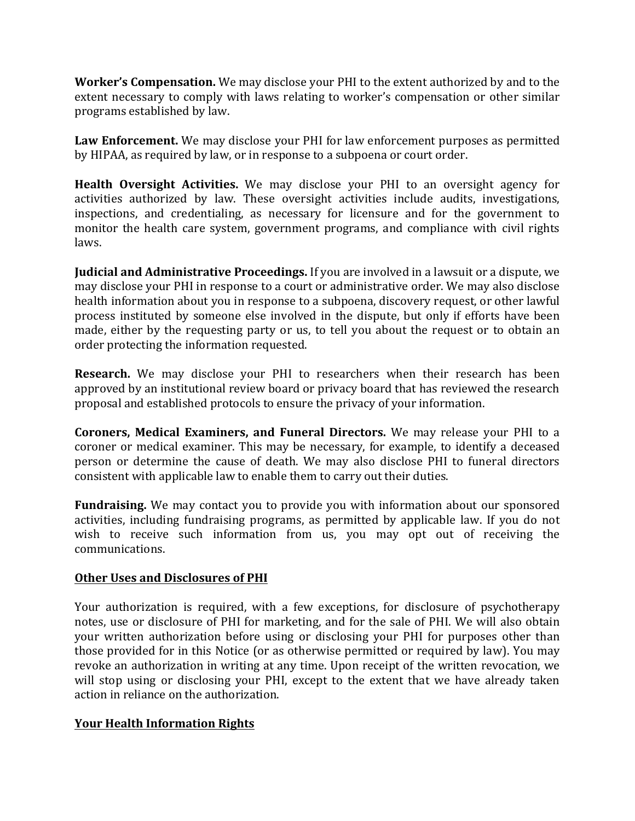**Worker's Compensation.** We may disclose your PHI to the extent authorized by and to the extent necessary to comply with laws relating to worker's compensation or other similar programs established by law.

Law Enforcement. We may disclose your PHI for law enforcement purposes as permitted by HIPAA, as required by law, or in response to a subpoena or court order.

**Health Oversight Activities.** We may disclose your PHI to an oversight agency for activities authorized by law. These oversight activities include audits, investigations, inspections, and credentialing, as necessary for licensure and for the government to monitor the health care system, government programs, and compliance with civil rights laws.

**Judicial and Administrative Proceedings.** If you are involved in a lawsuit or a dispute, we may disclose your PHI in response to a court or administrative order. We may also disclose health information about you in response to a subpoena, discovery request, or other lawful process instituted by someone else involved in the dispute, but only if efforts have been made, either by the requesting party or us, to tell you about the request or to obtain an order protecting the information requested.

**Research.** We may disclose your PHI to researchers when their research has been approved by an institutional review board or privacy board that has reviewed the research proposal and established protocols to ensure the privacy of your information.

**Coroners, Medical Examiners, and Funeral Directors.** We may release your PHI to a coroner or medical examiner. This may be necessary, for example, to identify a deceased person or determine the cause of death. We may also disclose PHI to funeral directors consistent with applicable law to enable them to carry out their duties.

**Fundraising.** We may contact you to provide you with information about our sponsored activities, including fundraising programs, as permitted by applicable law. If you do not wish to receive such information from us, you may opt out of receiving the communications.

### **Other Uses and Disclosures of PHI**

Your authorization is required, with a few exceptions, for disclosure of psychotherapy notes, use or disclosure of PHI for marketing, and for the sale of PHI. We will also obtain your written authorization before using or disclosing your PHI for purposes other than those provided for in this Notice (or as otherwise permitted or required by law). You may revoke an authorization in writing at any time. Upon receipt of the written revocation, we will stop using or disclosing your PHI, except to the extent that we have already taken action in reliance on the authorization.

# **Your Health Information Rights**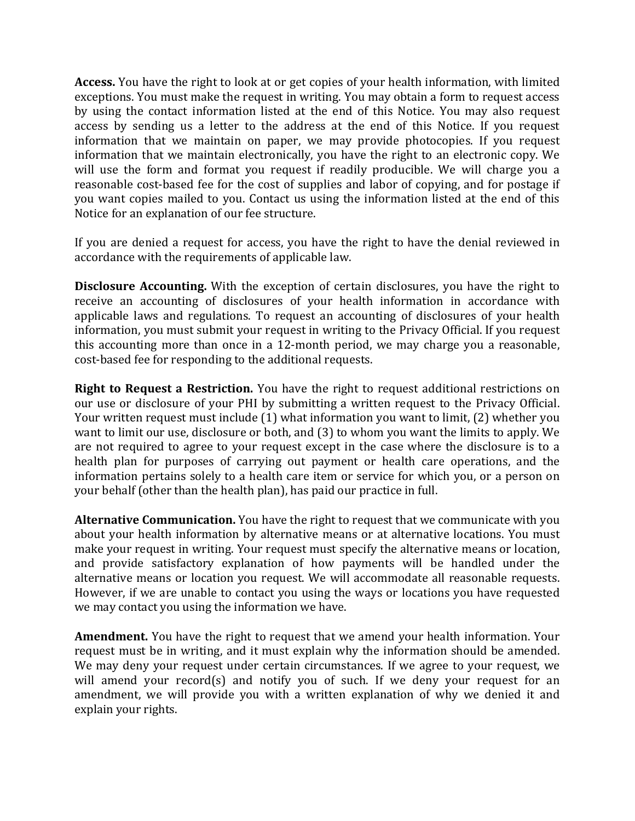**Access.** You have the right to look at or get copies of your health information, with limited exceptions. You must make the request in writing. You may obtain a form to request access by using the contact information listed at the end of this Notice. You may also request access by sending us a letter to the address at the end of this Notice. If you request information that we maintain on paper, we may provide photocopies. If you request information that we maintain electronically, you have the right to an electronic copy. We will use the form and format you request if readily producible. We will charge you a reasonable cost-based fee for the cost of supplies and labor of copying, and for postage if you want copies mailed to you. Contact us using the information listed at the end of this Notice for an explanation of our fee structure.

If you are denied a request for access, you have the right to have the denial reviewed in accordance with the requirements of applicable law.

**Disclosure Accounting.** With the exception of certain disclosures, you have the right to receive an accounting of disclosures of your health information in accordance with applicable laws and regulations. To request an accounting of disclosures of your health information, you must submit your request in writing to the Privacy Official. If you request this accounting more than once in a 12-month period, we may charge you a reasonable, cost-based fee for responding to the additional requests.

**Right to Request a Restriction.** You have the right to request additional restrictions on our use or disclosure of your PHI by submitting a written request to the Privacy Official. Your written request must include (1) what information you want to limit, (2) whether you want to limit our use, disclosure or both, and (3) to whom you want the limits to apply. We are not required to agree to your request except in the case where the disclosure is to a health plan for purposes of carrying out payment or health care operations, and the information pertains solely to a health care item or service for which you, or a person on your behalf (other than the health plan), has paid our practice in full.

**Alternative Communication.** You have the right to request that we communicate with you about your health information by alternative means or at alternative locations. You must make your request in writing. Your request must specify the alternative means or location, and provide satisfactory explanation of how payments will be handled under the alternative means or location you request. We will accommodate all reasonable requests. However, if we are unable to contact you using the ways or locations you have requested we may contact you using the information we have.

**Amendment.** You have the right to request that we amend your health information. Your request must be in writing, and it must explain why the information should be amended. We may deny your request under certain circumstances. If we agree to your request, we will amend your record(s) and notify you of such. If we deny your request for an amendment, we will provide you with a written explanation of why we denied it and explain your rights.